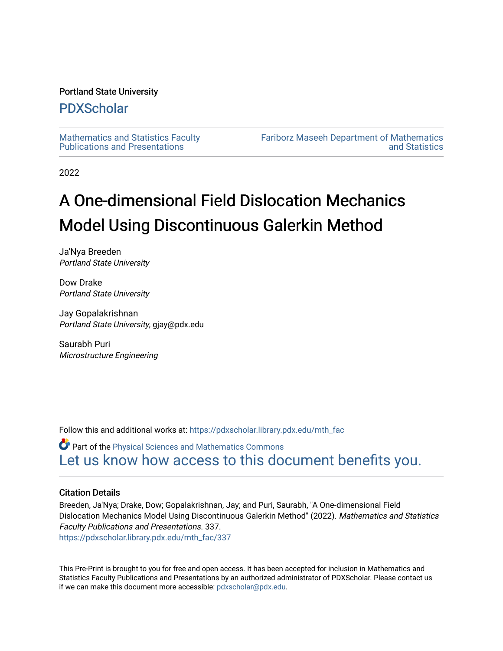#### Portland State University

## [PDXScholar](https://pdxscholar.library.pdx.edu/)

[Mathematics and Statistics Faculty](https://pdxscholar.library.pdx.edu/mth_fac)  [Publications and Presentations](https://pdxscholar.library.pdx.edu/mth_fac) 

[Fariborz Maseeh Department of Mathematics](https://pdxscholar.library.pdx.edu/mth)  [and Statistics](https://pdxscholar.library.pdx.edu/mth) 

2022

# A One-dimensional Field Dislocation Mechanics Model Using Discontinuous Galerkin Method

Ja'Nya Breeden Portland State University

Dow Drake Portland State University

Jay Gopalakrishnan Portland State University, gjay@pdx.edu

Saurabh Puri Microstructure Engineering

Follow this and additional works at: [https://pdxscholar.library.pdx.edu/mth\\_fac](https://pdxscholar.library.pdx.edu/mth_fac?utm_source=pdxscholar.library.pdx.edu%2Fmth_fac%2F337&utm_medium=PDF&utm_campaign=PDFCoverPages)

Part of the [Physical Sciences and Mathematics Commons](http://network.bepress.com/hgg/discipline/114?utm_source=pdxscholar.library.pdx.edu%2Fmth_fac%2F337&utm_medium=PDF&utm_campaign=PDFCoverPages)  [Let us know how access to this document benefits you.](http://library.pdx.edu/services/pdxscholar-services/pdxscholar-feedback/?ref=https://pdxscholar.library.pdx.edu/mth_fac/337) 

#### Citation Details

Breeden, Ja'Nya; Drake, Dow; Gopalakrishnan, Jay; and Puri, Saurabh, "A One-dimensional Field Dislocation Mechanics Model Using Discontinuous Galerkin Method" (2022). Mathematics and Statistics Faculty Publications and Presentations. 337. [https://pdxscholar.library.pdx.edu/mth\\_fac/337](https://pdxscholar.library.pdx.edu/mth_fac/337?utm_source=pdxscholar.library.pdx.edu%2Fmth_fac%2F337&utm_medium=PDF&utm_campaign=PDFCoverPages)

This Pre-Print is brought to you for free and open access. It has been accepted for inclusion in Mathematics and Statistics Faculty Publications and Presentations by an authorized administrator of PDXScholar. Please contact us if we can make this document more accessible: [pdxscholar@pdx.edu.](mailto:pdxscholar@pdx.edu)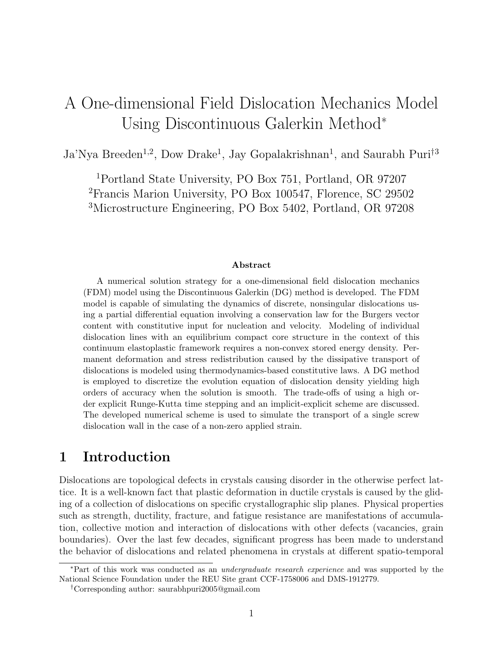## A One-dimensional Field Dislocation Mechanics Model Using Discontinuous Galerkin Method<sup>∗</sup>

Ja'Nya Breeden<sup>1,2</sup>, Dow Drake<sup>1</sup>, Jay Gopalakrishnan<sup>1</sup>, and Saurabh Puri<sup>†3</sup>

<sup>1</sup>Portland State University, PO Box 751, Portland, OR 97207 <sup>2</sup>Francis Marion University, PO Box 100547, Florence, SC 29502 <sup>3</sup>Microstructure Engineering, PO Box 5402, Portland, OR 97208

#### Abstract

A numerical solution strategy for a one-dimensional field dislocation mechanics (FDM) model using the Discontinuous Galerkin (DG) method is developed. The FDM model is capable of simulating the dynamics of discrete, nonsingular dislocations using a partial differential equation involving a conservation law for the Burgers vector content with constitutive input for nucleation and velocity. Modeling of individual dislocation lines with an equilibrium compact core structure in the context of this continuum elastoplastic framework requires a non-convex stored energy density. Permanent deformation and stress redistribution caused by the dissipative transport of dislocations is modeled using thermodynamics-based constitutive laws. A DG method is employed to discretize the evolution equation of dislocation density yielding high orders of accuracy when the solution is smooth. The trade-offs of using a high order explicit Runge-Kutta time stepping and an implicit-explicit scheme are discussed. The developed numerical scheme is used to simulate the transport of a single screw dislocation wall in the case of a non-zero applied strain.

## 1 Introduction

Dislocations are topological defects in crystals causing disorder in the otherwise perfect lattice. It is a well-known fact that plastic deformation in ductile crystals is caused by the gliding of a collection of dislocations on specific crystallographic slip planes. Physical properties such as strength, ductility, fracture, and fatigue resistance are manifestations of accumulation, collective motion and interaction of dislocations with other defects (vacancies, grain boundaries). Over the last few decades, significant progress has been made to understand the behavior of dislocations and related phenomena in crystals at different spatio-temporal

<sup>∗</sup>Part of this work was conducted as an undergraduate research experience and was supported by the National Science Foundation under the REU Site grant CCF-1758006 and DMS-1912779.

<sup>†</sup>Corresponding author: saurabhpuri2005@gmail.com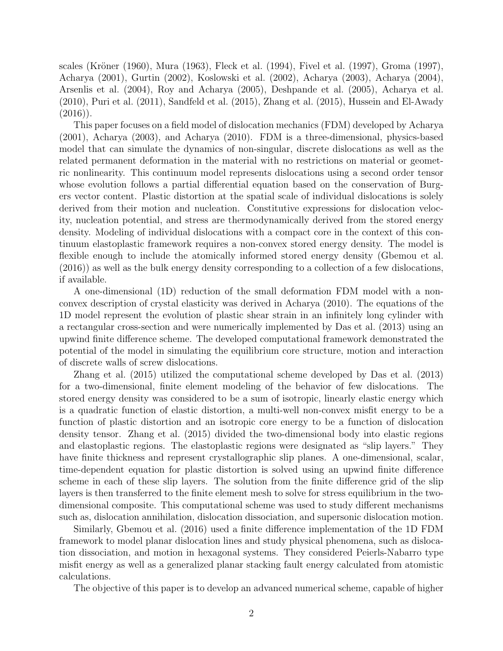scales (Kröner (1960), Mura (1963), Fleck et al. (1994), Fivel et al. (1997), Groma (1997), Acharya (2001), Gurtin (2002), Koslowski et al. (2002), Acharya (2003), Acharya (2004), Arsenlis et al. (2004), Roy and Acharya (2005), Deshpande et al. (2005), Acharya et al. (2010), Puri et al. (2011), Sandfeld et al. (2015), Zhang et al. (2015), Hussein and El-Awady  $(2016)$ .

This paper focuses on a field model of dislocation mechanics (FDM) developed by Acharya (2001), Acharya (2003), and Acharya (2010). FDM is a three-dimensional, physics-based model that can simulate the dynamics of non-singular, discrete dislocations as well as the related permanent deformation in the material with no restrictions on material or geometric nonlinearity. This continuum model represents dislocations using a second order tensor whose evolution follows a partial differential equation based on the conservation of Burgers vector content. Plastic distortion at the spatial scale of individual dislocations is solely derived from their motion and nucleation. Constitutive expressions for dislocation velocity, nucleation potential, and stress are thermodynamically derived from the stored energy density. Modeling of individual dislocations with a compact core in the context of this continuum elastoplastic framework requires a non-convex stored energy density. The model is flexible enough to include the atomically informed stored energy density (Gbemou et al. (2016)) as well as the bulk energy density corresponding to a collection of a few dislocations, if available.

A one-dimensional (1D) reduction of the small deformation FDM model with a nonconvex description of crystal elasticity was derived in Acharya (2010). The equations of the 1D model represent the evolution of plastic shear strain in an infinitely long cylinder with a rectangular cross-section and were numerically implemented by Das et al. (2013) using an upwind finite difference scheme. The developed computational framework demonstrated the potential of the model in simulating the equilibrium core structure, motion and interaction of discrete walls of screw dislocations.

Zhang et al. (2015) utilized the computational scheme developed by Das et al. (2013) for a two-dimensional, finite element modeling of the behavior of few dislocations. The stored energy density was considered to be a sum of isotropic, linearly elastic energy which is a quadratic function of elastic distortion, a multi-well non-convex misfit energy to be a function of plastic distortion and an isotropic core energy to be a function of dislocation density tensor. Zhang et al. (2015) divided the two-dimensional body into elastic regions and elastoplastic regions. The elastoplastic regions were designated as "slip layers." They have finite thickness and represent crystallographic slip planes. A one-dimensional, scalar, time-dependent equation for plastic distortion is solved using an upwind finite difference scheme in each of these slip layers. The solution from the finite difference grid of the slip layers is then transferred to the finite element mesh to solve for stress equilibrium in the twodimensional composite. This computational scheme was used to study different mechanisms such as, dislocation annihilation, dislocation dissociation, and supersonic dislocation motion.

Similarly, Gbemou et al. (2016) used a finite difference implementation of the 1D FDM framework to model planar dislocation lines and study physical phenomena, such as dislocation dissociation, and motion in hexagonal systems. They considered Peierls-Nabarro type misfit energy as well as a generalized planar stacking fault energy calculated from atomistic calculations.

The objective of this paper is to develop an advanced numerical scheme, capable of higher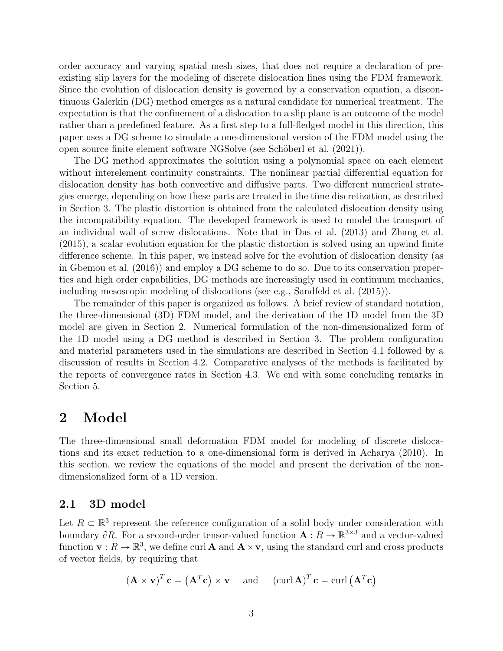order accuracy and varying spatial mesh sizes, that does not require a declaration of preexisting slip layers for the modeling of discrete dislocation lines using the FDM framework. Since the evolution of dislocation density is governed by a conservation equation, a discontinuous Galerkin (DG) method emerges as a natural candidate for numerical treatment. The expectation is that the confinement of a dislocation to a slip plane is an outcome of the model rather than a predefined feature. As a first step to a full-fledged model in this direction, this paper uses a DG scheme to simulate a one-dimensional version of the FDM model using the open source finite element software NGSolve (see Schöberl et al.  $(2021)$ ).

The DG method approximates the solution using a polynomial space on each element without interelement continuity constraints. The nonlinear partial differential equation for dislocation density has both convective and diffusive parts. Two different numerical strategies emerge, depending on how these parts are treated in the time discretization, as described in Section 3. The plastic distortion is obtained from the calculated dislocation density using the incompatibility equation. The developed framework is used to model the transport of an individual wall of screw dislocations. Note that in Das et al. (2013) and Zhang et al. (2015), a scalar evolution equation for the plastic distortion is solved using an upwind finite difference scheme. In this paper, we instead solve for the evolution of dislocation density (as in Gbemou et al. (2016)) and employ a DG scheme to do so. Due to its conservation properties and high order capabilities, DG methods are increasingly used in continuum mechanics, including mesoscopic modeling of dislocations (see e.g., Sandfeld et al. (2015)).

The remainder of this paper is organized as follows. A brief review of standard notation, the three-dimensional (3D) FDM model, and the derivation of the 1D model from the 3D model are given in Section 2. Numerical formulation of the non-dimensionalized form of the 1D model using a DG method is described in Section 3. The problem configuration and material parameters used in the simulations are described in Section 4.1 followed by a discussion of results in Section 4.2. Comparative analyses of the methods is facilitated by the reports of convergence rates in Section 4.3. We end with some concluding remarks in Section 5.

## 2 Model

The three-dimensional small deformation FDM model for modeling of discrete dislocations and its exact reduction to a one-dimensional form is derived in Acharya (2010). In this section, we review the equations of the model and present the derivation of the nondimensionalized form of a 1D version.

#### 2.1 3D model

Let  $R \subset \mathbb{R}^3$  represent the reference configuration of a solid body under consideration with boundary  $\partial R$ . For a second-order tensor-valued function  $\mathbf{A}: R \to \mathbb{R}^{3\times3}$  and a vector-valued function  $\mathbf{v}: R \to \mathbb{R}^3$ , we define curl **A** and  $\mathbf{A} \times \mathbf{v}$ , using the standard curl and cross products of vector fields, by requiring that

$$
(\mathbf{A} \times \mathbf{v})^T \mathbf{c} = (\mathbf{A}^T \mathbf{c}) \times \mathbf{v}
$$
 and  $(\text{curl } \mathbf{A})^T \mathbf{c} = \text{curl } (\mathbf{A}^T \mathbf{c})$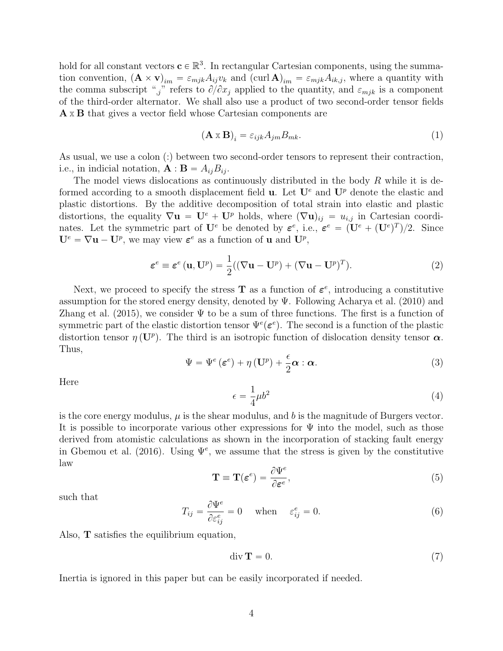hold for all constant vectors  $\mathbf{c} \in \mathbb{R}^3$ . In rectangular Cartesian components, using the summation convention,  $(\mathbf{A} \times \mathbf{v})_{im} = \varepsilon_{mjk} A_{ij} v_k$  and  $(\text{curl } \mathbf{A})_{im} = \varepsilon_{mjk} A_{ik,j}$ , where a quantity with the comma subscript ",j" refers to  $\partial/\partial x_j$  applied to the quantity, and  $\varepsilon_{mjk}$  is a component of the third-order alternator. We shall also use a product of two second-order tensor fields A x B that gives a vector field whose Cartesian components are

$$
\left(\mathbf{A} \times \mathbf{B}\right)_i = \varepsilon_{ijk} A_{jm} B_{mk}.\tag{1}
$$

As usual, we use a colon (:) between two second-order tensors to represent their contraction, i.e., in indicial notation,  $\mathbf{A} : \mathbf{B} = A_{ij}B_{ij}$ .

The model views dislocations as continuously distributed in the body  $R$  while it is deformed according to a smooth displacement field **u**. Let  $\mathbf{U}^e$  and  $\mathbf{U}^p$  denote the elastic and plastic distortions. By the additive decomposition of total strain into elastic and plastic distortions, the equality  $\nabla \mathbf{u} = \mathbf{U}^e + \mathbf{U}^p$  holds, where  $(\nabla \mathbf{u})_{ij} = u_{i,j}$  in Cartesian coordinates. Let the symmetric part of  $\mathbf{U}^e$  be denoted by  $\boldsymbol{\varepsilon}^e$ , i.e.,  $\boldsymbol{\varepsilon}^e = (\mathbf{U}^e + (\mathbf{U}^e)^T)/2$ . Since  $\mathbf{U}^e = \nabla \mathbf{u} - \mathbf{U}^p$ , we may view  $\boldsymbol{\varepsilon}^e$  as a function of **u** and  $\mathbf{U}^p$ ,

$$
\varepsilon^{e} \equiv \varepsilon^{e} (\mathbf{u}, \mathbf{U}^{p}) = \frac{1}{2} ((\nabla \mathbf{u} - \mathbf{U}^{p}) + (\nabla \mathbf{u} - \mathbf{U}^{p})^{T}).
$$
\n(2)

Next, we proceed to specify the stress **T** as a function of  $\varepsilon^e$ , introducing a constitutive assumption for the stored energy density, denoted by  $\Psi$ . Following Acharya et al. (2010) and Zhang et al. (2015), we consider  $\Psi$  to be a sum of three functions. The first is a function of symmetric part of the elastic distortion tensor  $\Psi^e(\boldsymbol{\varepsilon}^e)$ . The second is a function of the plastic distortion tensor  $\eta(\mathbf{U}^p)$ . The third is an isotropic function of dislocation density tensor  $\alpha$ . Thus,

$$
\Psi = \Psi^e \left( \varepsilon^e \right) + \eta \left( \mathbf{U}^p \right) + \frac{\epsilon}{2} \boldsymbol{\alpha} : \boldsymbol{\alpha}.
$$
\n(3)

Here

$$
\epsilon = \frac{1}{4}\mu b^2 \tag{4}
$$

is the core energy modulus,  $\mu$  is the shear modulus, and b is the magnitude of Burgers vector. It is possible to incorporate various other expressions for  $\Psi$  into the model, such as those derived from atomistic calculations as shown in the incorporation of stacking fault energy in Gbemou et al. (2016). Using  $\Psi^e$ , we assume that the stress is given by the constitutive law

$$
\mathbf{T} \equiv \mathbf{T}(\boldsymbol{\varepsilon}^e) = \frac{\partial \Psi^e}{\partial \boldsymbol{\varepsilon}^e},\tag{5}
$$

such that

$$
T_{ij} = \frac{\partial \Psi^e}{\partial \varepsilon_{ij}^e} = 0 \quad \text{when} \quad \varepsilon_{ij}^e = 0. \tag{6}
$$

Also, T satisfies the equilibrium equation,

$$
\operatorname{div} \mathbf{T} = 0. \tag{7}
$$

Inertia is ignored in this paper but can be easily incorporated if needed.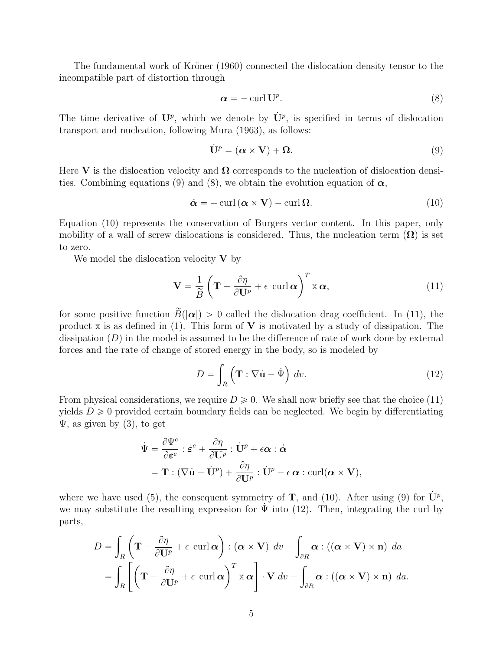The fundamental work of Kröner (1960) connected the dislocation density tensor to the incompatible part of distortion through

$$
\alpha = -\operatorname{curl} \mathbf{U}^p. \tag{8}
$$

The time derivative of  $\mathbf{U}^p$ , which we denote by  $\dot{\mathbf{U}}^p$ , is specified in terms of dislocation transport and nucleation, following Mura (1963), as follows:

$$
\dot{\mathbf{U}}^p = (\boldsymbol{\alpha} \times \mathbf{V}) + \boldsymbol{\Omega}.
$$
\n(9)

Here V is the dislocation velocity and  $\Omega$  corresponds to the nucleation of dislocation densities. Combining equations (9) and (8), we obtain the evolution equation of  $\alpha$ ,

$$
\dot{\alpha} = -\operatorname{curl}\left(\alpha \times \mathbf{V}\right) - \operatorname{curl}\Omega. \tag{10}
$$

Equation (10) represents the conservation of Burgers vector content. In this paper, only mobility of a wall of screw dislocations is considered. Thus, the nucleation term  $(\Omega)$  is set to zero.

We model the dislocation velocity  $V$  by

$$
\mathbf{V} = \frac{1}{\widetilde{B}} \left( \mathbf{T} - \frac{\partial \eta}{\partial \mathbf{U}^p} + \epsilon \, \operatorname{curl} \boldsymbol{\alpha} \right)^T \mathbf{x} \, \boldsymbol{\alpha},\tag{11}
$$

for some positive function  $\tilde{B}(|\alpha|) > 0$  called the dislocation drag coefficient. In (11), the product  $\bar{x}$  is as defined in (1). This form of  $\bar{V}$  is motivated by a study of dissipation. The dissipation  $(D)$  in the model is assumed to be the difference of rate of work done by external forces and the rate of change of stored energy in the body, so is modeled by

$$
D = \int_{R} (\mathbf{T} : \nabla \dot{\mathbf{u}} - \dot{\Psi}) dv.
$$
 (12)

From physical considerations, we require  $D \geq 0$ . We shall now briefly see that the choice (11) yields  $D \geq 0$  provided certain boundary fields can be neglected. We begin by differentiating  $\Psi$ , as given by (3), to get

$$
\dot{\Psi} = \frac{\partial \Psi^e}{\partial \boldsymbol{\varepsilon}^e} : \dot{\boldsymbol{\varepsilon}}^e + \frac{\partial \eta}{\partial \mathbf{U}^p} : \dot{\mathbf{U}}^p + \epsilon \boldsymbol{\alpha} : \dot{\boldsymbol{\alpha}} \n= \mathbf{T} : (\nabla \dot{\mathbf{u}} - \dot{\mathbf{U}}^p) + \frac{\partial \eta}{\partial \mathbf{U}^p} : \dot{\mathbf{U}}^p - \epsilon \boldsymbol{\alpha} : \operatorname{curl}(\boldsymbol{\alpha} \times \mathbf{V}),
$$

where we have used (5), the consequent symmetry of **T**, and (10). After using (9) for  $\dot{\mathbf{U}}^p$ , we may substitute the resulting expression for  $\Psi$  into (12). Then, integrating the curl by parts,

$$
D = \int_{R} \left( \mathbf{T} - \frac{\partial \eta}{\partial \mathbf{U}^{p}} + \epsilon \operatorname{curl} \boldsymbol{\alpha} \right) : (\boldsymbol{\alpha} \times \mathbf{V}) dv - \int_{\partial R} \boldsymbol{\alpha} : ((\boldsymbol{\alpha} \times \mathbf{V}) \times \mathbf{n}) da
$$
  
= 
$$
\int_{R} \left[ \left( \mathbf{T} - \frac{\partial \eta}{\partial \mathbf{U}^{p}} + \epsilon \operatorname{curl} \boldsymbol{\alpha} \right)^{T} \mathbf{x} \boldsymbol{\alpha} \right] \cdot \mathbf{V} dv - \int_{\partial R} \boldsymbol{\alpha} : ((\boldsymbol{\alpha} \times \mathbf{V}) \times \mathbf{n}) da.
$$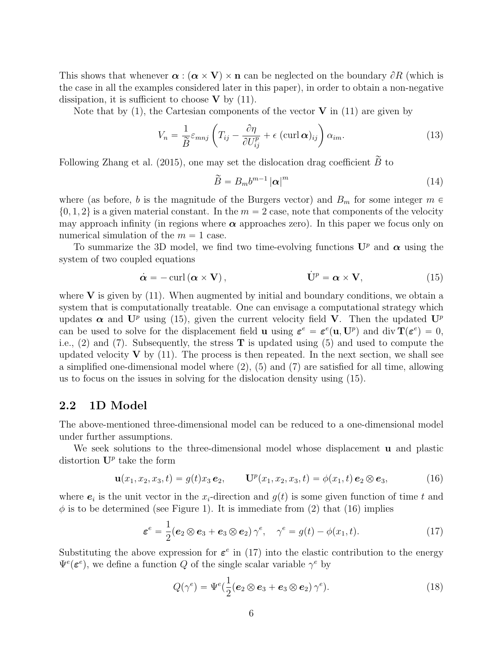This shows that whenever  $\alpha : (\alpha \times V) \times n$  can be neglected on the boundary  $\partial R$  (which is the case in all the examples considered later in this paper), in order to obtain a non-negative dissipation, it is sufficient to choose  $V$  by (11).

Note that by  $(1)$ , the Cartesian components of the vector **V** in  $(11)$  are given by

$$
V_n = \frac{1}{\widetilde{B}} \varepsilon_{mnj} \left( T_{ij} - \frac{\partial \eta}{\partial U_{ij}^p} + \epsilon \left( \operatorname{curl} \boldsymbol{\alpha} \right)_{ij} \right) \alpha_{im}.
$$
 (13)

Following Zhang et al. (2015), one may set the dislocation drag coefficient  $\widetilde{B}$  to

$$
\widetilde{B} = B_m b^{m-1} |\alpha|^m \tag{14}
$$

where (as before, b is the magnitude of the Burgers vector) and  $B_m$  for some integer  $m \in$  $\{0, 1, 2\}$  is a given material constant. In the  $m = 2$  case, note that components of the velocity may approach infinity (in regions where  $\alpha$  approaches zero). In this paper we focus only on numerical simulation of the  $m = 1$  case.

To summarize the 3D model, we find two time-evolving functions  $\mathbf{U}^p$  and  $\boldsymbol{\alpha}$  using the system of two coupled equations

$$
\dot{\boldsymbol{\alpha}} = -\operatorname{curl}\left(\boldsymbol{\alpha} \times \mathbf{V}\right), \qquad \dot{\mathbf{U}}^p = \boldsymbol{\alpha} \times \mathbf{V}, \qquad (15)
$$

where  $V$  is given by (11). When augmented by initial and boundary conditions, we obtain a system that is computationally treatable. One can envisage a computational strategy which updates  $\alpha$  and  $\mathbf{U}^p$  using (15), given the current velocity field **V**. Then the updated  $\mathbf{U}^p$ can be used to solve for the displacement field **u** using  $\boldsymbol{\varepsilon}^e = \boldsymbol{\varepsilon}^e(\mathbf{u}, \mathbf{U}^p)$  and div  $\mathbf{T}(\boldsymbol{\varepsilon}^e) = 0$ , i.e.,  $(2)$  and  $(7)$ . Subsequently, the stress **T** is updated using  $(5)$  and used to compute the updated velocity  $V$  by (11). The process is then repeated. In the next section, we shall see a simplified one-dimensional model where (2), (5) and (7) are satisfied for all time, allowing us to focus on the issues in solving for the dislocation density using (15).

#### 2.2 1D Model

The above-mentioned three-dimensional model can be reduced to a one-dimensional model under further assumptions.

We seek solutions to the three-dimensional model whose displacement **u** and plastic distortion  $\mathbf{U}^p$  take the form

$$
\mathbf{u}(x_1, x_2, x_3, t) = g(t)x_3 \, \mathbf{e}_2, \qquad \mathbf{U}^p(x_1, x_2, x_3, t) = \phi(x_1, t) \, \mathbf{e}_2 \otimes \mathbf{e}_3,\tag{16}
$$

where  $e_i$  is the unit vector in the  $x_i$ -direction and  $g(t)$  is some given function of time t and  $\phi$  is to be determined (see Figure 1). It is immediate from (2) that (16) implies

$$
\boldsymbol{\varepsilon}^{e} = \frac{1}{2} (\boldsymbol{e}_2 \otimes \boldsymbol{e}_3 + \boldsymbol{e}_3 \otimes \boldsymbol{e}_2) \gamma^{e}, \quad \gamma^{e} = g(t) - \phi(x_1, t). \tag{17}
$$

Substituting the above expression for  $\varepsilon^e$  in (17) into the elastic contribution to the energy  $\Psi^e(\boldsymbol{\varepsilon}^e)$ , we define a function Q of the single scalar variable  $\gamma^e$  by

$$
Q(\gamma^e) = \Psi^e(\frac{1}{2}(\boldsymbol{e}_2 \otimes \boldsymbol{e}_3 + \boldsymbol{e}_3 \otimes \boldsymbol{e}_2) \gamma^e).
$$
 (18)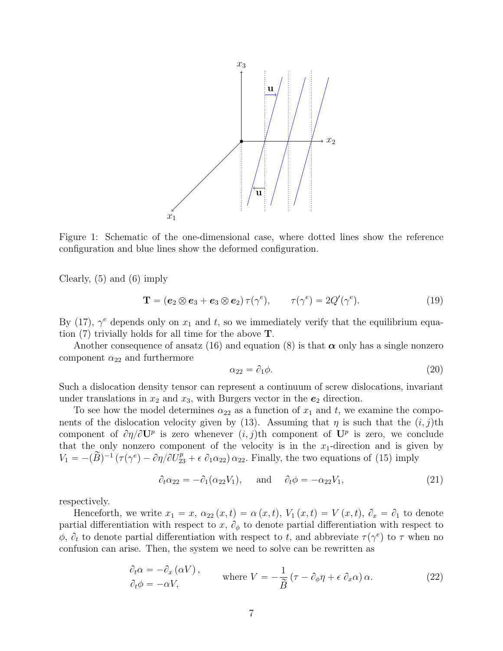

Figure 1: Schematic of the one-dimensional case, where dotted lines show the reference configuration and blue lines show the deformed configuration.

Clearly, (5) and (6) imply

$$
\mathbf{T} = (\mathbf{e}_2 \otimes \mathbf{e}_3 + \mathbf{e}_3 \otimes \mathbf{e}_2) \tau(\gamma^e), \qquad \tau(\gamma^e) = 2Q'(\gamma^e). \tag{19}
$$

By (17),  $\gamma^e$  depends only on  $x_1$  and t, so we immediately verify that the equilibrium equation  $(7)$  trivially holds for all time for the above **T**.

Another consequence of ansatz (16) and equation (8) is that  $\alpha$  only has a single nonzero component  $\alpha_{22}$  and furthermore

$$
\alpha_{22} = \partial_1 \phi. \tag{20}
$$

Such a dislocation density tensor can represent a continuum of screw dislocations, invariant under translations in  $x_2$  and  $x_3$ , with Burgers vector in the  $e_2$  direction.

To see how the model determines  $\alpha_{22}$  as a function of  $x_1$  and t, we examine the components of the dislocation velocity given by (13). Assuming that  $\eta$  is such that the  $(i, j)$ th component of  $\partial \eta / \partial U^p$  is zero whenever  $(i, j)$ th component of  $U^p$  is zero, we conclude that the only nonzero component of the velocity is in the  $x_1$ -direction and is given by  $V_1 = -(\tilde{B})^{-1} (\tau(\gamma^e) - \partial \eta/\partial U_{23}^p + \epsilon \partial_1 \alpha_{22}) \alpha_{22}$ . Finally, the two equations of (15) imply

$$
\partial_t \alpha_{22} = -\partial_1(\alpha_{22} V_1), \quad \text{and} \quad \partial_t \phi = -\alpha_{22} V_1,\tag{21}
$$

respectively.

Henceforth, we write  $x_1 = x$ ,  $\alpha_{22}(x, t) = \alpha(x, t)$ ,  $V_1(x, t) = V(x, t)$ ,  $\partial_x = \partial_1$  to denote partial differentiation with respect to x,  $\partial_{\phi}$  to denote partial differentiation with respect to  $\phi$ ,  $\partial_t$  to denote partial differentiation with respect to t, and abbreviate  $\tau(\gamma^e)$  to  $\tau$  when no confusion can arise. Then, the system we need to solve can be rewritten as

$$
\partial_t \alpha = -\partial_x (\alpha V), \qquad \text{where } V = -\frac{1}{\tilde{B}} (\tau - \partial_{\phi} \eta + \epsilon \partial_x \alpha) \alpha. \tag{22}
$$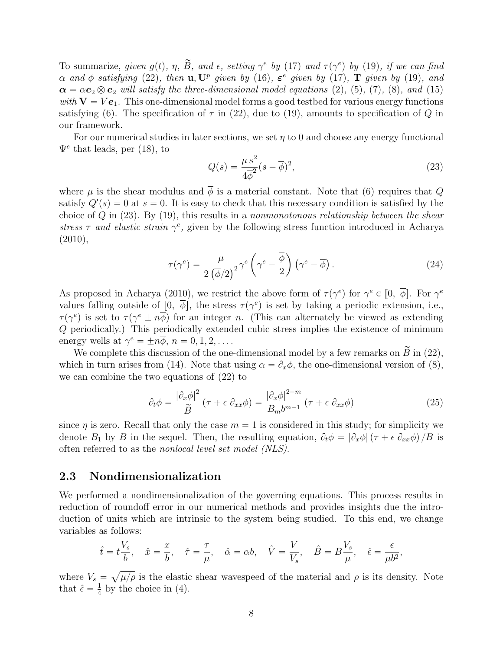To summarize, given  $g(t)$ ,  $\eta$ ,  $\widetilde{B}$ , and  $\epsilon$ , setting  $\gamma^e$  by (17) and  $\tau(\gamma^e)$  by (19), if we can find  $\alpha$  and  $\phi$  satisfying (22), then **u**, U<sup>p</sup> given by (16),  $\varepsilon^e$  given by (17), **T** given by (19), and  $\alpha = \alpha e_2 \otimes e_2$  will satisfy the three-dimensional model equations (2), (5), (7), (8), and (15) with  $V = Ve_1$ . This one-dimensional model forms a good testbed for various energy functions satisfying (6). The specification of  $\tau$  in (22), due to (19), amounts to specification of Q in our framework.

For our numerical studies in later sections, we set  $\eta$  to 0 and choose any energy functional  $\Psi^e$  that leads, per (18), to

$$
Q(s) = \frac{\mu s^2}{4\overline{\phi}^2}(s - \overline{\phi})^2,\tag{23}
$$

where  $\mu$  is the shear modulus and  $\overline{\phi}$  is a material constant. Note that (6) requires that Q satisfy  $Q'(s) = 0$  at  $s = 0$ . It is easy to check that this necessary condition is satisfied by the choice of  $Q$  in (23). By (19), this results in a nonmonotonous relationship between the shear stress  $\tau$  and elastic strain  $\gamma^e$ , given by the following stress function introduced in Acharya  $(2010),$ 

$$
\tau(\gamma^e) = \frac{\mu}{2\left(\overline{\phi}/2\right)^2} \gamma^e \left(\gamma^e - \frac{\overline{\phi}}{2}\right) \left(\gamma^e - \overline{\phi}\right). \tag{24}
$$

As proposed in Acharya (2010), we restrict the above form of  $\tau(\gamma^e)$  for  $\gamma^e \in [0, \overline{\phi}]$ . For  $\gamma^e$ values falling outside of  $[0, \overline{\phi}]$ , the stress  $\tau(\gamma^e)$  is set by taking a periodic extension, i.e.,  $\tau(\gamma^e)$  is set to  $\tau(\gamma^e \pm n\overline{\phi})$  for an integer n. (This can alternately be viewed as extending Q periodically.) This periodically extended cubic stress implies the existence of minimum energy wells at  $\gamma^e = \pm n\overline{\phi}$ ,  $n = 0, 1, 2, \dots$ .

We complete this discussion of the one-dimensional model by a few remarks on  $\widetilde{B}$  in (22), which in turn arises from (14). Note that using  $\alpha = \partial_x \phi$ , the one-dimensional version of (8), we can combine the two equations of (22) to

$$
\partial_t \phi = \frac{|\partial_x \phi|^2}{\tilde{B}} \left( \tau + \epsilon \partial_{xx} \phi \right) = \frac{|\partial_x \phi|^{2-m}}{B_m b^{m-1}} \left( \tau + \epsilon \partial_{xx} \phi \right)
$$
(25)

since  $\eta$  is zero. Recall that only the case  $m = 1$  is considered in this study; for simplicity we denote  $B_1$  by B in the sequel. Then, the resulting equation,  $\partial_t \phi = |\partial_x \phi| (\tau + \epsilon \partial_{xx} \phi) / B$  is often referred to as the nonlocal level set model (NLS).

#### 2.3 Nondimensionalization

We performed a nondimensionalization of the governing equations. This process results in reduction of roundoff error in our numerical methods and provides insights due the introduction of units which are intrinsic to the system being studied. To this end, we change variables as follows:

$$
\hat{t} = t \frac{V_s}{b}, \quad \hat{x} = \frac{x}{b}, \quad \hat{\tau} = \frac{\tau}{\mu}, \quad \hat{\alpha} = \alpha b, \quad \hat{V} = \frac{V}{V_s}, \quad \hat{B} = B \frac{V_s}{\mu}, \quad \hat{\epsilon} = \frac{\epsilon}{\mu b^2},
$$

where  $V_s = \sqrt{\mu/\rho}$  is the elastic shear wavespeed of the material and  $\rho$  is its density. Note that  $\hat{\epsilon} = \frac{1}{4}$  $\frac{1}{4}$  by the choice in (4).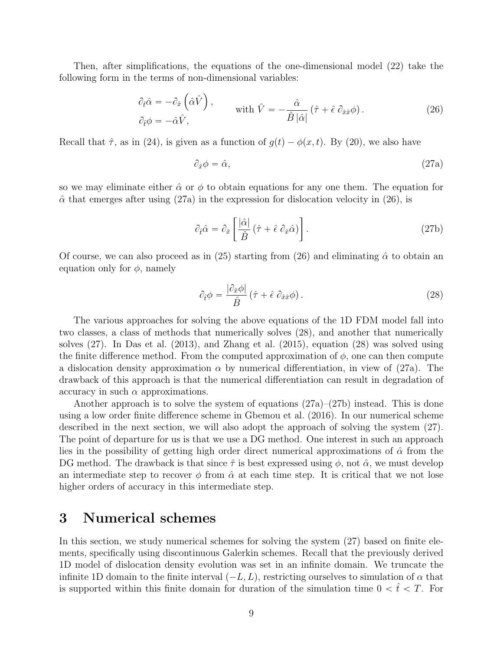Then, after simplifications, the equations of the one-dimensional model (22) take the following form in the terms of non-dimensional variables:

$$
\partial_{\hat{t}} \hat{\alpha} = -\partial_{\hat{x}} \left( \hat{\alpha} \hat{V} \right), \qquad \text{with } \hat{V} = -\frac{\hat{\alpha}}{\hat{B} \left| \hat{\alpha} \right|} \left( \hat{\tau} + \hat{\epsilon} \partial_{\hat{x}\hat{x}} \phi \right). \tag{26}
$$

Recall that  $\hat{\tau}$ , as in (24), is given as a function of  $g(t) - \phi(x, t)$ . By (20), we also have

 $\mathbf{r}$ 

$$
\partial_{\hat{x}} \phi = \hat{\alpha}, \tag{27a}
$$

so we may eliminate either  $\hat{\alpha}$  or  $\phi$  to obtain equations for any one them. The equation for  $\hat{\alpha}$  that emerges after using (27a) in the expression for dislocation velocity in (26), is

$$
\partial_{\hat{t}} \hat{\alpha} = \partial_{\hat{x}} \left[ \frac{|\hat{\alpha}|}{\hat{B}} \left( \hat{\tau} + \hat{\epsilon} \partial_{\hat{x}} \hat{\alpha} \right) \right]. \tag{27b}
$$

Of course, we can also proceed as in (25) starting from (26) and eliminating  $\hat{\alpha}$  to obtain an equation only for  $\phi$ , namely

$$
\partial_{\hat{t}}\phi = \frac{|\partial_{\hat{x}}\phi|}{\hat{B}}\left(\hat{\tau} + \hat{\epsilon}\,\partial_{\hat{x}\hat{x}}\phi\right). \tag{28}
$$

The various approaches for solving the above equations of the 1D FDM model fall into two classes, a class of methods that numerically solves (28), and another that numerically solves (27). In Das et al. (2013), and Zhang et al. (2015), equation (28) was solved using the finite difference method. From the computed approximation of  $\phi$ , one can then compute a dislocation density approximation  $\alpha$  by numerical differentiation, in view of (27a). The drawback of this approach is that the numerical differentiation can result in degradation of accuracy in such  $\alpha$  approximations.

Another approach is to solve the system of equations  $(27a)-(27b)$  instead. This is done using a low order finite difference scheme in Gbemou et al. (2016). In our numerical scheme described in the next section, we will also adopt the approach of solving the system (27). The point of departure for us is that we use a DG method. One interest in such an approach lies in the possibility of getting high order direct numerical approximations of  $\hat{\alpha}$  from the DG method. The drawback is that since  $\hat{\tau}$  is best expressed using  $\phi$ , not  $\hat{\alpha}$ , we must develop an intermediate step to recover  $\phi$  from  $\hat{\alpha}$  at each time step. It is critical that we not lose higher orders of accuracy in this intermediate step.

## 3 Numerical schemes

In this section, we study numerical schemes for solving the system (27) based on finite elements, specifically using discontinuous Galerkin schemes. Recall that the previously derived 1D model of dislocation density evolution was set in an infinite domain. We truncate the infinite 1D domain to the finite interval  $(-L, L)$ , restricting ourselves to simulation of  $\alpha$  that is supported within this finite domain for duration of the simulation time  $0 < \hat{t} < T$ . For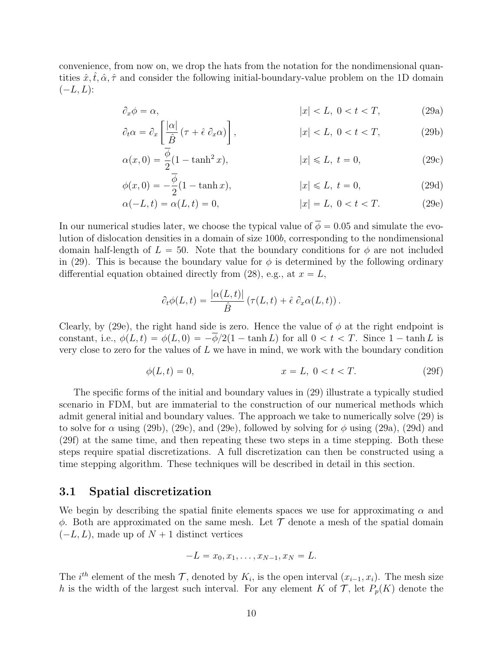convenience, from now on, we drop the hats from the notation for the nondimensional quantities  $\hat{x}, \hat{t}, \hat{\alpha}, \hat{\tau}$  and consider the following initial-boundary-value problem on the 1D domain  $(-L, L)$ :

$$
\partial_x \phi = \alpha, \qquad |x| < L, \ 0 < t < T,\tag{29a}
$$

$$
\partial_t \alpha = \partial_x \left[ \frac{|\alpha|}{\hat{B}} (\tau + \hat{\epsilon} \; \partial_x \alpha) \right], \qquad |x| < L, \ 0 < t < T,\tag{29b}
$$

$$
\alpha(x,0) = \frac{\phi}{2}(1 - \tanh^2 x), \qquad |x| \le L, \ t = 0,
$$
\n(29c)

$$
\phi(x,0) = -\frac{\phi}{2}(1 - \tanh x), \qquad |x| \le L, \ t = 0,
$$
\n(29d)

$$
\alpha(-L, t) = \alpha(L, t) = 0, \qquad |x| = L, \ 0 < t < T. \tag{29e}
$$

In our numerical studies later, we choose the typical value of  $\overline{\phi} = 0.05$  and simulate the evolution of dislocation densities in a domain of size 100b, corresponding to the nondimensional domain half-length of  $L = 50$ . Note that the boundary conditions for  $\phi$  are not included in (29). This is because the boundary value for  $\phi$  is determined by the following ordinary differential equation obtained directly from (28), e.g., at  $x = L$ ,

$$
\partial_t \phi(L,t) = \frac{|\alpha(L,t)|}{\hat{B}} \left(\tau(L,t) + \hat{\epsilon} \partial_x \alpha(L,t)\right).
$$

Clearly, by (29e), the right hand side is zero. Hence the value of  $\phi$  at the right endpoint is constant, i.e.,  $\phi(L, t) = \phi(L, 0) = -\overline{\phi}/2(1 - \tanh L)$  for all  $0 < t < T$ . Since  $1 - \tanh L$  is very close to zero for the values of  $L$  we have in mind, we work with the boundary condition

$$
\phi(L, t) = 0, \qquad x = L, \ 0 < t < T. \tag{29f}
$$

The specific forms of the initial and boundary values in (29) illustrate a typically studied scenario in FDM, but are immaterial to the construction of our numerical methods which admit general initial and boundary values. The approach we take to numerically solve (29) is to solve for  $\alpha$  using (29b), (29c), and (29e), followed by solving for  $\phi$  using (29a), (29d) and (29f) at the same time, and then repeating these two steps in a time stepping. Both these steps require spatial discretizations. A full discretization can then be constructed using a time stepping algorithm. These techniques will be described in detail in this section.

#### 3.1 Spatial discretization

We begin by describing the spatial finite elements spaces we use for approximating  $\alpha$  and  $\phi$ . Both are approximated on the same mesh. Let  $\mathcal T$  denote a mesh of the spatial domain  $(-L, L)$ , made up of  $N + 1$  distinct vertices

$$
-L = x_0, x_1, \dots, x_{N-1}, x_N = L.
$$

The *i*<sup>th</sup> element of the mesh  $\mathcal{T}$ , denoted by  $K_i$ , is the open interval  $(x_{i-1}, x_i)$ . The mesh size h is the width of the largest such interval. For any element K of  $\mathcal{T}$ , let  $P_p(K)$  denote the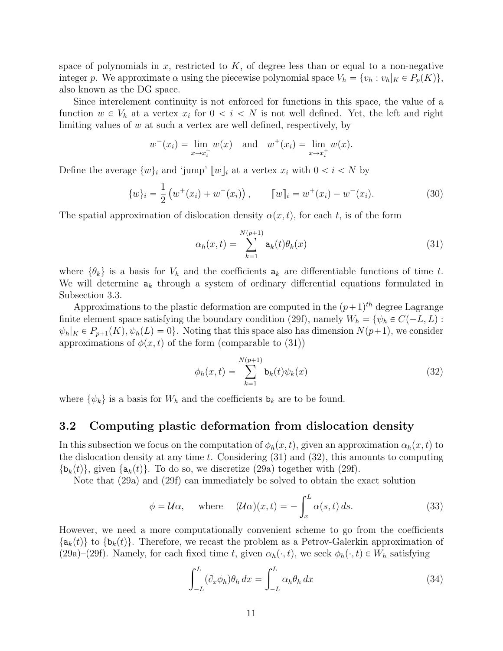space of polynomials in x, restricted to  $K$ , of degree less than or equal to a non-negative integer p. We approximate  $\alpha$  using the piecewise polynomial space  $V_h = \{v_h : v_h|_K \in P_p(K)\},\$ also known as the DG space.

Since interelement continuity is not enforced for functions in this space, the value of a function  $w \in V_h$  at a vertex  $x_i$  for  $0 < i < N$  is not well defined. Yet, the left and right limiting values of  $w$  at such a vertex are well defined, respectively, by

$$
w^-(x_i) = \lim_{x \to x_i^-} w(x)
$$
 and  $w^+(x_i) = \lim_{x \to x_i^+} w(x)$ .

Define the average  $\{w\}_i$  and 'jump'  $\llbracket w \rrbracket_i$  at a vertex  $x_i$  with  $0 < i < N$  by

$$
\{w\}_i = \frac{1}{2} \left( w^+(x_i) + w^-(x_i) \right), \qquad [w]_i = w^+(x_i) - w^-(x_i). \tag{30}
$$

The spatial approximation of dislocation density  $\alpha(x, t)$ , for each t, is of the form

$$
\alpha_h(x,t) = \sum_{k=1}^{N(p+1)} \mathbf{a}_k(t)\theta_k(x) \tag{31}
$$

where  $\{\theta_k\}$  is a basis for  $V_h$  and the coefficients  $a_k$  are differentiable functions of time t. We will determine  $a_k$  through a system of ordinary differential equations formulated in Subsection 3.3.

Approximations to the plastic deformation are computed in the  $(p+1)$ <sup>th</sup> degree Lagrange finite element space satisfying the boundary condition (29f), namely  $W_h = \{ \psi_h \in C(-L, L) :$  $\psi_h|_K \in P_{p+1}(K), \psi_h(L) = 0$ . Noting that this space also has dimension  $N(p+1)$ , we consider approximations of  $\phi(x, t)$  of the form (comparable to (31))

$$
\phi_h(x,t) = \sum_{k=1}^{N(p+1)} \mathbf{b}_k(t)\psi_k(x)
$$
\n(32)

where  $\{\psi_k\}$  is a basis for  $W_h$  and the coefficients  $\mathbf{b}_k$  are to be found.

#### 3.2 Computing plastic deformation from dislocation density

In this subsection we focus on the computation of  $\phi_h(x, t)$ , given an approximation  $\alpha_h(x, t)$  to the dislocation density at any time t. Considering  $(31)$  and  $(32)$ , this amounts to computing  $\{\mathbf{b}_k(t)\}\$ , given  $\{\mathbf{a}_k(t)\}\$ . To do so, we discretize (29a) together with (29f).

Note that (29a) and (29f) can immediately be solved to obtain the exact solution

$$
\phi = \mathcal{U}\alpha
$$
, where  $(\mathcal{U}\alpha)(x,t) = -\int_x^L \alpha(s,t) ds$ . (33)

However, we need a more computationally convenient scheme to go from the coefficients  $\{a_k(t)\}\$  to  $\{b_k(t)\}\$ . Therefore, we recast the problem as a Petrov-Galerkin approximation of (29a)–(29f). Namely, for each fixed time t, given  $\alpha_h(\cdot, t)$ , we seek  $\phi_h(\cdot, t) \in W_h$  satisfying

$$
\int_{-L}^{L} (\partial_x \phi_h) \theta_h dx = \int_{-L}^{L} \alpha_h \theta_h dx \tag{34}
$$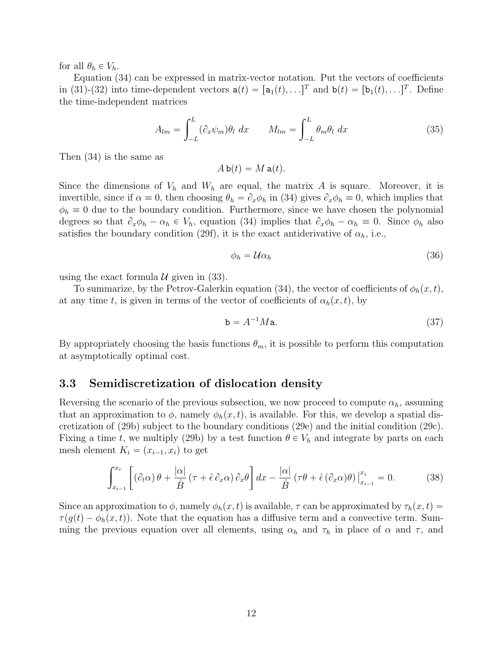for all  $\theta_h \in V_h$ .

Equation (34) can be expressed in matrix-vector notation. Put the vectors of coefficients in (31)-(32) into time-dependent vectors  $\mathbf{a}(t) = [\mathbf{a}_1(t), \dots]^T$  and  $\mathbf{b}(t) = [\mathbf{b}_1(t), \dots]^T$ . Define the time-independent matrices

$$
A_{lm} = \int_{-L}^{L} (\partial_x \psi_m) \theta_l \ dx \qquad M_{lm} = \int_{-L}^{L} \theta_m \theta_l \ dx \qquad (35)
$$

Then (34) is the same as

$$
A\,\mathbf{b}(t) = M\,\mathbf{a}(t).
$$

Since the dimensions of  $V_h$  and  $W_h$  are equal, the matrix A is square. Moreover, it is invertible, since if  $\alpha \equiv 0$ , then choosing  $\theta_h = \partial_x \phi_h$  in (34) gives  $\partial_x \phi_h \equiv 0$ , which implies that  $\phi_h \equiv 0$  due to the boundary condition. Furthermore, since we have chosen the polynomial degrees so that  $\partial_x \phi_h - \alpha_h \in V_h$ , equation (34) implies that  $\partial_x \phi_h - \alpha_h \equiv 0$ . Since  $\phi_h$  also satisfies the boundary condition (29f), it is the exact antiderivative of  $\alpha_h$ , i.e.,

$$
\phi_h = \mathcal{U}\alpha_h \tag{36}
$$

using the exact formula  $\mathcal U$  given in (33).

To summarize, by the Petrov-Galerkin equation (34), the vector of coefficients of  $\phi_h(x, t)$ , at any time t, is given in terms of the vector of coefficients of  $\alpha_h(x, t)$ , by

$$
\mathbf{b} = A^{-1} M \mathbf{a}.\tag{37}
$$

By appropriately choosing the basis functions  $\theta_m$ , it is possible to perform this computation at asymptotically optimal cost.

#### 3.3 Semidiscretization of dislocation density

Reversing the scenario of the previous subsection, we now proceed to compute  $\alpha_h$ , assuming that an approximation to  $\phi$ , namely  $\phi_h(x, t)$ , is available. For this, we develop a spatial discretization of (29b) subject to the boundary conditions (29e) and the initial condition (29c). Fixing a time t, we multiply (29b) by a test function  $\theta \in V_h$  and integrate by parts on each mesh element  $K_i = (x_{i-1}, x_i)$  to get

$$
\int_{x_{i-1}}^{x_i} \left[ \left( \partial_t \alpha \right) \theta + \frac{|\alpha|}{\hat{B}} \left( \tau + \hat{\epsilon} \partial_x \alpha \right) \partial_x \theta \right] dx - \frac{|\alpha|}{\hat{B}} \left( \tau \theta + \hat{\epsilon} \left( \partial_x \alpha \right) \theta \right) \Big|_{x_{i-1}}^{x_i} = 0. \tag{38}
$$

Since an approximation to  $\phi$ , namely  $\phi_h(x, t)$  is available,  $\tau$  can be approximated by  $\tau_h(x, t)$  =  $\tau(g(t) - \phi_h(x, t))$ . Note that the equation has a diffusive term and a convective term. Summing the previous equation over all elements, using  $\alpha_h$  and  $\tau_h$  in place of  $\alpha$  and  $\tau$ , and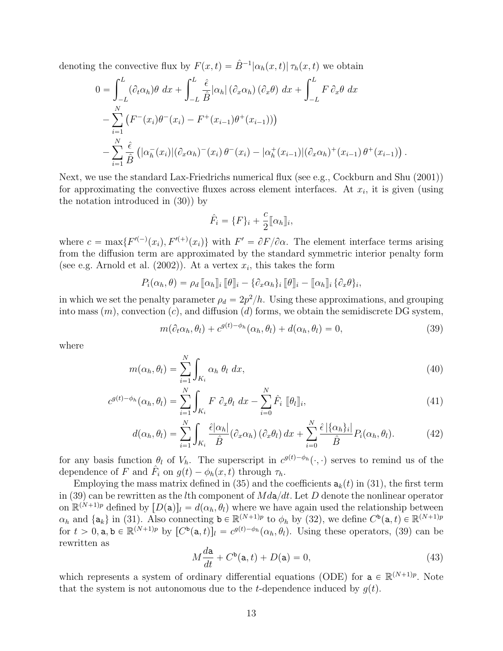denoting the convective flux by  $F(x,t) = \hat{B}^{-1} |\alpha_h(x,t)| \tau_h(x,t)$  we obtain

$$
0 = \int_{-L}^{L} (\partial_t \alpha_h) \theta \, dx + \int_{-L}^{L} \frac{\hat{\epsilon}}{\hat{B}} |\alpha_h| \left( \partial_x \alpha_h \right) \left( \partial_x \theta \right) \, dx + \int_{-L}^{L} F \, \partial_x \theta \, dx
$$
  
- 
$$
\sum_{i=1}^{N} \left( F^-(x_i) \theta^-(x_i) - F^+(x_{i-1}) \theta^+(x_{i-1}) \right)
$$
  
- 
$$
\sum_{i=1}^{N} \frac{\hat{\epsilon}}{\hat{B}} \left( |\alpha_h^-(x_i)| (\partial_x \alpha_h)^-(x_i) \theta^-(x_i) - |\alpha_h^+(x_{i-1})| (\partial_x \alpha_h)^+(x_{i-1}) \theta^+(x_{i-1}) \right).
$$

Next, we use the standard Lax-Friedrichs numerical flux (see e.g., Cockburn and Shu (2001)) for approximating the convective fluxes across element interfaces. At  $x_i$ , it is given (using the notation introduced in (30)) by

$$
\hat{F}_i = \{F\}_i + \frac{c}{2} [\![\alpha_h]\!]_i,
$$

where  $c = \max\{F^{(-)}(x_i), F^{(-)}(x_i)\}\$  with  $F' = \partial F/\partial \alpha$ . The element interface terms arising from the diffusion term are approximated by the standard symmetric interior penalty form (see e.g. Arnold et al.  $(2002)$ ). At a vertex  $x_i$ , this takes the form

$$
P_i(\alpha_h, \theta) = \rho_d [\![\alpha_h]\!]_i [\![\theta]\!]_i - \{\partial_x \alpha_h\}_i [\![\theta]\!]_i - [\![\alpha_h]\!]_i \{\partial_x \theta\}_i,
$$

in which we set the penalty parameter  $\rho_d = 2p^2/h$ . Using these approximations, and grouping into mass  $(m)$ , convection  $(c)$ , and diffusion  $(d)$  forms, we obtain the semidiscrete DG system,

$$
m(\partial_t \alpha_h, \theta_l) + c^{g(t) - \phi_h}(\alpha_h, \theta_l) + d(\alpha_h, \theta_l) = 0,
$$
\n(39)

where

$$
m(\alpha_h, \theta_l) = \sum_{i=1}^N \int_{K_i} \alpha_h \theta_l \, dx,\tag{40}
$$

$$
c^{g(t)-\phi_h}(\alpha_h, \theta_l) = \sum_{i=1}^N \int_{K_i} F \partial_x \theta_l \, dx - \sum_{i=0}^N \hat{F}_i \, [\![\theta_l]\!]_i,\tag{41}
$$

$$
d(\alpha_h, \theta_l) = \sum_{i=1}^N \int_{K_i} \frac{\hat{\epsilon}|\alpha_h|}{\hat{B}} (\partial_x \alpha_h) (\partial_x \theta_l) dx + \sum_{i=0}^N \frac{\hat{\epsilon}|\{\alpha_h\}_i|}{\hat{B}} P_i(\alpha_h, \theta_l).
$$
 (42)

for any basis function  $\theta_l$  of  $V_h$ . The superscript in  $c^{g(t)-\phi_h}(\cdot, \cdot)$  serves to remind us of the dependence of F and  $\hat{F}_i$  on  $g(t) - \phi_h(x, t)$  through  $\tau_h$ .

Employing the mass matrix defined in (35) and the coefficients  $a_k(t)$  in (31), the first term in (39) can be rewritten as the *l*th component of  $Md\mathbf{a}/dt$ . Let D denote the nonlinear operator on  $\mathbb{R}^{(N+1)p}$  defined by  $[D(\mathsf{a})]_l = d(\alpha_h, \theta_l)$  where we have again used the relationship between  $\alpha_h$  and  $\{a_k\}$  in (31). Also connecting  $b \in \mathbb{R}^{(N+1)p}$  to  $\phi_h$  by (32), we define  $C^b(a, t) \in \mathbb{R}^{(N+1)p}$ for  $t > 0$ ,  $a, b \in \mathbb{R}^{(N+1)p}$  by  $[C^b(a, t)]_l = c^{g(t)-\phi_h}(\alpha_h, \theta_l)$ . Using these operators, (39) can be rewritten as

$$
M\frac{d\mathbf{a}}{dt} + C^{\mathbf{b}}(\mathbf{a},t) + D(\mathbf{a}) = 0,\tag{43}
$$

which represents a system of ordinary differential equations (ODE) for  $a \in \mathbb{R}^{(N+1)p}$ . Note that the system is not autonomous due to the *t*-dependence induced by  $g(t)$ .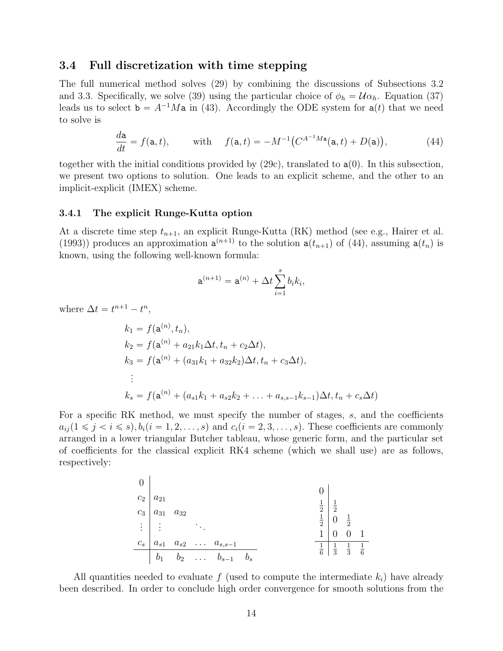#### 3.4 Full discretization with time stepping

The full numerical method solves (29) by combining the discussions of Subsections 3.2 and 3.3. Specifically, we solve (39) using the particular choice of  $\phi_h = \mathcal{U} \alpha_h$ . Equation (37) leads us to select  $\mathbf{b} = A^{-1}M\mathbf{a}$  in (43). Accordingly the ODE system for  $\mathbf{a}(t)$  that we need to solve is

$$
\frac{d\mathbf{a}}{dt} = f(\mathbf{a}, t), \quad \text{with} \quad f(\mathbf{a}, t) = -M^{-1} \big( C^{A^{-1}M\mathbf{a}}(\mathbf{a}, t) + D(\mathbf{a}) \big), \tag{44}
$$

together with the initial conditions provided by  $(29c)$ , translated to  $a(0)$ . In this subsection, we present two options to solution. One leads to an explicit scheme, and the other to an implicit-explicit (IMEX) scheme.

#### 3.4.1 The explicit Runge-Kutta option

At a discrete time step  $t_{n+1}$ , an explicit Runge-Kutta (RK) method (see e.g., Hairer et al. (1993)) produces an approximation  $a^{(n+1)}$  to the solution  $a(t_{n+1})$  of (44), assuming  $a(t_n)$  is known, using the following well-known formula:

$$
\mathbf{a}^{(n+1)} = \mathbf{a}^{(n)} + \Delta t \sum_{i=1}^{s} b_i k_i,
$$

where  $\Delta t = t^{n+1} - t^n$ ,

$$
k_1 = f(\mathbf{a}^{(n)}, t_n),
$$
  
\n
$$
k_2 = f(\mathbf{a}^{(n)} + a_{21}k_1\Delta t, t_n + c_2\Delta t),
$$
  
\n
$$
k_3 = f(\mathbf{a}^{(n)} + (a_{31}k_1 + a_{32}k_2)\Delta t, t_n + c_3\Delta t),
$$
  
\n
$$
\vdots
$$
  
\n
$$
k_s = f(\mathbf{a}^{(n)} + (a_{s1}k_1 + a_{s2}k_2 + \dots + a_{s,s-1}k_{s-1})\Delta t, t_n + c_s\Delta t)
$$

For a specific RK method, we must specify the number of stages, s, and the coefficients  $a_{ii} (1 \leq j \leq i \leq s), b_i (i = 1, 2, \ldots, s)$  and  $c_i (i = 2, 3, \ldots, s)$ . These coefficients are commonly arranged in a lower triangular Butcher tableau, whose generic form, and the particular set of coefficients for the classical explicit RK4 scheme (which we shall use) are as follows, respectively:

| $C_2$    | $a_{21}$ | $0$      |               |               |
|----------|----------|----------|---------------|---------------|
| $C_3$    | $a_{31}$ | $a_{32}$ | $\frac{1}{2}$ | $\frac{1}{2}$ |
| $\vdots$ | $\vdots$ | $\vdots$ |               |               |
| $C_s$    | $a_{s1}$ | $a_{s2}$ | $\vdots$      | $\vdots$      |
| $b_1$    | $b_2$    | $\vdots$ | $b_{s-1}$     | $b_s$         |

All quantities needed to evaluate f (used to compute the intermediate  $k_i$ ) have already been described. In order to conclude high order convergence for smooth solutions from the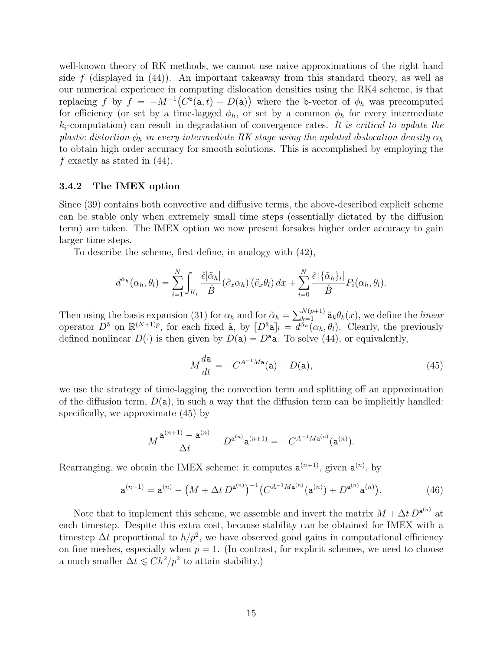well-known theory of RK methods, we cannot use naive approximations of the right hand side f (displayed in  $(44)$ ). An important takeaway from this standard theory, as well as our numerical experience in computing dislocation densities using the RK4 scheme, is that replacing f by  $f = -M^{-1}(C^b(\mathsf{a},t) + D(\mathsf{a}))$  where the b-vector of  $\phi_h$  was precomputed for efficiency (or set by a time-lagged  $\phi_h$ , or set by a common  $\phi_h$  for every intermediate  $k_i$ -computation) can result in degradation of convergence rates. It is critical to update the plastic distortion  $\phi_h$  in every intermediate RK stage using the updated dislocation density  $\alpha_h$ to obtain high order accuracy for smooth solutions. This is accomplished by employing the f exactly as stated in  $(44)$ .

#### 3.4.2 The IMEX option

Since (39) contains both convective and diffusive terms, the above-described explicit scheme can be stable only when extremely small time steps (essentially dictated by the diffusion term) are taken. The IMEX option we now present forsakes higher order accuracy to gain larger time steps.

To describe the scheme, first define, in analogy with (42),

$$
d^{\tilde{\alpha}_h}(\alpha_h, \theta_l) = \sum_{i=1}^N \int_{K_i} \frac{\hat{\epsilon}|\tilde{\alpha}_h|}{\hat{B}} (\partial_x \alpha_h) (\partial_x \theta_l) dx + \sum_{i=0}^N \frac{\hat{\epsilon}|\{\tilde{\alpha}_h\}_i|}{\hat{B}} P_i(\alpha_h, \theta_l).
$$

Then using the basis expansion (31) for  $\alpha_h$  and for  $\tilde{\alpha}_h = \sum_{k=1}^{N(p+1)}$  $\sum_{k=1}^{N(p+1)} \tilde{a}_k \theta_k(x)$ , we define the *linear* operator  $\overline{D}^{\tilde{\mathbf{a}}}$  on  $\mathbb{R}^{(N+1)p}$ , for each fixed  $\tilde{\mathbf{a}}$ , by  $[D^{\tilde{\mathbf{a}}} \mathbf{a}]_l = \overline{d}^{\tilde{\alpha}_h}(\alpha_h, \theta_l)$ . Clearly, the previously defined nonlinear  $D(\cdot)$  is then given by  $D(\mathsf{a}) = D^{\mathsf{a}}\mathsf{a}$ . To solve (44), or equivalently,

$$
M\frac{d\mathbf{a}}{dt} = -C^{A^{-1}M\mathbf{a}}(\mathbf{a}) - D(\mathbf{a}),\tag{45}
$$

we use the strategy of time-lagging the convection term and splitting off an approximation of the diffusion term,  $D(a)$ , in such a way that the diffusion term can be implicitly handled: specifically, we approximate (45) by

$$
M\frac{\mathbf{a}^{(n+1)} - \mathbf{a}^{(n)}}{\Delta t} + D^{\mathbf{a}^{(n)}} \mathbf{a}^{(n+1)} = -C^{A^{-1}M\mathbf{a}^{(n)}}(\mathbf{a}^{(n)}).
$$

Rearranging, we obtain the IMEX scheme: it computes  $a^{(n+1)}$ , given  $a^{(n)}$ , by

$$
\mathbf{a}^{(n+1)} = \mathbf{a}^{(n)} - \left(M + \Delta t \, D^{\mathbf{a}^{(n)}}\right)^{-1} \left(C^{A^{-1} M \mathbf{a}^{(n)}}(\mathbf{a}^{(n)}) + D^{\mathbf{a}^{(n)}} \mathbf{a}^{(n)}\right). \tag{46}
$$

Note that to implement this scheme, we assemble and invert the matrix  $M + \Delta t D^{a^{(n)}}$  at each timestep. Despite this extra cost, because stability can be obtained for IMEX with a timestep  $\Delta t$  proportional to  $h/p^2$ , we have observed good gains in computational efficiency on fine meshes, especially when  $p = 1$ . (In contrast, for explicit schemes, we need to choose a much smaller  $\Delta t \leq C h^2 / p^2$  to attain stability.)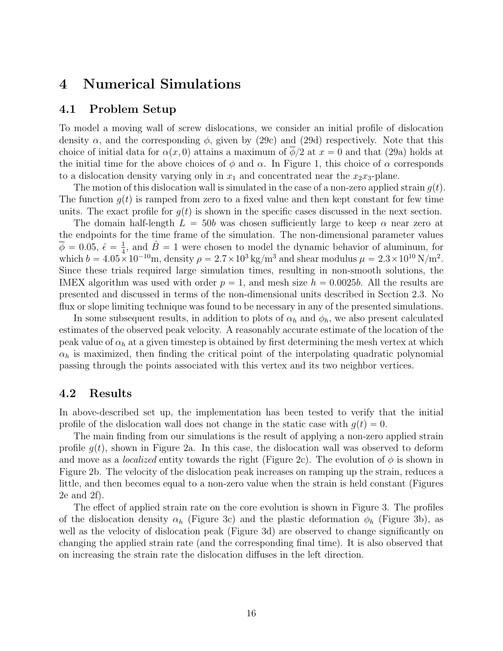## 4 Numerical Simulations

#### 4.1 Problem Setup

To model a moving wall of screw dislocations, we consider an initial profile of dislocation density  $\alpha$ , and the corresponding  $\phi$ , given by (29c) and (29d) respectively. Note that this choice of initial data for  $\alpha(x, 0)$  attains a maximum of  $\phi/2$  at  $x = 0$  and that (29a) holds at the initial time for the above choices of  $\phi$  and  $\alpha$ . In Figure 1, this choice of  $\alpha$  corresponds to a dislocation density varying only in  $x_1$  and concentrated near the  $x_2x_3$ -plane.

The motion of this dislocation wall is simulated in the case of a non-zero applied strain  $q(t)$ . The function  $q(t)$  is ramped from zero to a fixed value and then kept constant for few time units. The exact profile for  $g(t)$  is shown in the specific cases discussed in the next section.

The domain half-length  $L = 50b$  was chosen sufficiently large to keep  $\alpha$  near zero at the endpoints for the time frame of the simulation. The non-dimensional parameter values  $\overline{\phi}$  = 0.05,  $\hat{\epsilon}$  =  $\frac{1}{4}$  $\frac{1}{4}$ , and  $\hat{B} = 1$  were chosen to model the dynamic behavior of aluminum, for which  $b = 4.05 \times 10^{-10}$ m, density  $\rho = 2.7 \times 10^3$  kg/m<sup>3</sup> and shear modulus  $\mu = 2.3 \times 10^{10}$  N/m<sup>2</sup>. Since these trials required large simulation times, resulting in non-smooth solutions, the IMEX algorithm was used with order  $p = 1$ , and mesh size  $h = 0.0025b$ . All the results are presented and discussed in terms of the non-dimensional units described in Section 2.3. No flux or slope limiting technique was found to be necessary in any of the presented simulations.

In some subsequent results, in addition to plots of  $\alpha_h$  and  $\phi_h$ , we also present calculated estimates of the observed peak velocity. A reasonably accurate estimate of the location of the peak value of  $\alpha_h$  at a given timestep is obtained by first determining the mesh vertex at which  $\alpha_h$  is maximized, then finding the critical point of the interpolating quadratic polynomial passing through the points associated with this vertex and its two neighbor vertices.

#### 4.2 Results

In above-described set up, the implementation has been tested to verify that the initial profile of the dislocation wall does not change in the static case with  $g(t) = 0$ .

The main finding from our simulations is the result of applying a non-zero applied strain profile  $g(t)$ , shown in Figure 2a. In this case, the dislocation wall was observed to deform and move as a *localized* entity towards the right (Figure 2c). The evolution of  $\phi$  is shown in Figure 2b. The velocity of the dislocation peak increases on ramping up the strain, reduces a little, and then becomes equal to a non-zero value when the strain is held constant (Figures 2e and 2f).

The effect of applied strain rate on the core evolution is shown in Figure 3. The profiles of the dislocation density  $\alpha_h$  (Figure 3c) and the plastic deformation  $\phi_h$  (Figure 3b), as well as the velocity of dislocation peak (Figure 3d) are observed to change significantly on changing the applied strain rate (and the corresponding final time). It is also observed that on increasing the strain rate the dislocation diffuses in the left direction.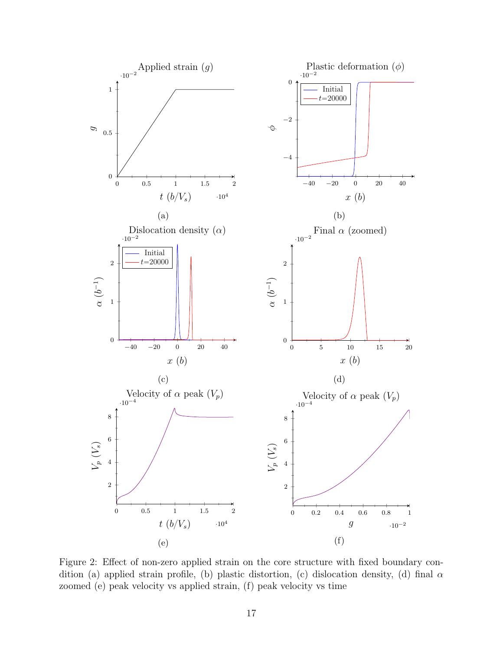

Figure 2: Effect of non-zero applied strain on the core structure with fixed boundary condition (a) applied strain profile, (b) plastic distortion, (c) dislocation density, (d) final  $\alpha$ zoomed (e) peak velocity vs applied strain, (f) peak velocity vs time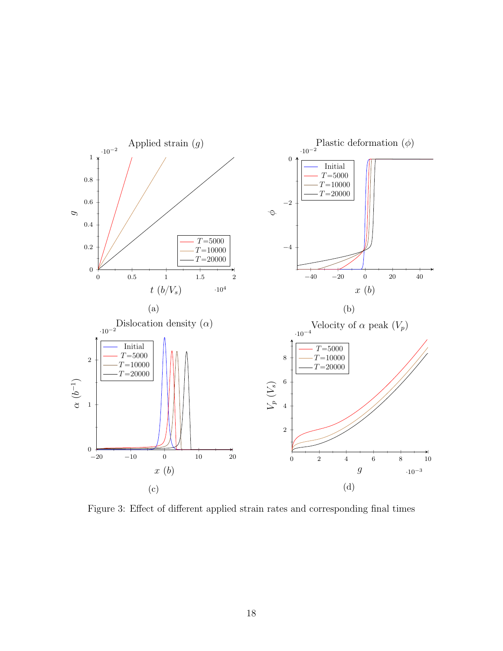

Figure 3: Effect of different applied strain rates and corresponding final times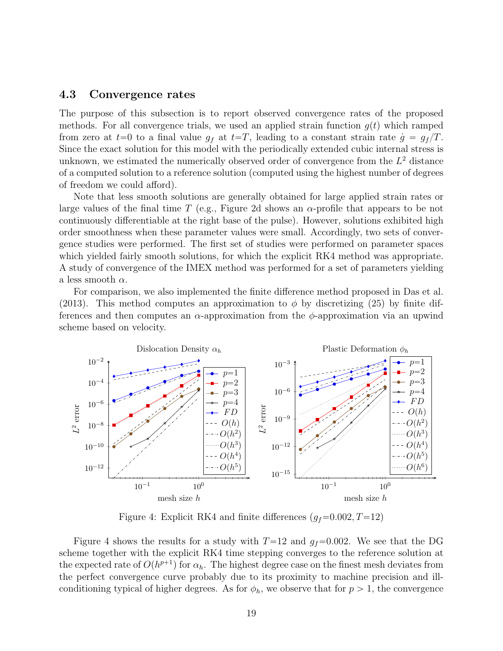#### 4.3 Convergence rates

The purpose of this subsection is to report observed convergence rates of the proposed methods. For all convergence trials, we used an applied strain function  $g(t)$  which ramped from zero at  $t=0$  to a final value  $g_f$  at  $t=T$ , leading to a constant strain rate  $\dot{g}=g_f/T$ . Since the exact solution for this model with the periodically extended cubic internal stress is unknown, we estimated the numerically observed order of convergence from the  $L^2$  distance of a computed solution to a reference solution (computed using the highest number of degrees of freedom we could afford).

Note that less smooth solutions are generally obtained for large applied strain rates or large values of the final time T (e.g., Figure 2d shows an  $\alpha$ -profile that appears to be not continuously differentiable at the right base of the pulse). However, solutions exhibited high order smoothness when these parameter values were small. Accordingly, two sets of convergence studies were performed. The first set of studies were performed on parameter spaces which yielded fairly smooth solutions, for which the explicit RK4 method was appropriate. A study of convergence of the IMEX method was performed for a set of parameters yielding a less smooth  $\alpha$ .

For comparison, we also implemented the finite difference method proposed in Das et al. (2013). This method computes an approximation to  $\phi$  by discretizing (25) by finite differences and then computes an  $\alpha$ -approximation from the  $\phi$ -approximation via an upwind scheme based on velocity.



Figure 4: Explicit RK4 and finite differences  $(g_f=0.002, T=12)$ 

Figure 4 shows the results for a study with  $T=12$  and  $g_f=0.002$ . We see that the DG scheme together with the explicit RK4 time stepping converges to the reference solution at the expected rate of  $O(h^{p+1})$  for  $\alpha_h$ . The highest degree case on the finest mesh deviates from the perfect convergence curve probably due to its proximity to machine precision and illconditioning typical of higher degrees. As for  $\phi_h$ , we observe that for  $p > 1$ , the convergence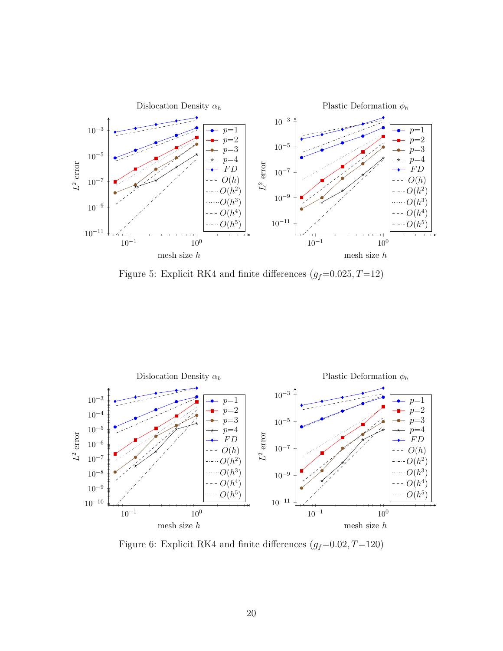

Figure 5: Explicit RK4 and finite differences  $(g_f=0.025, T=12)$ 



Figure 6: Explicit RK4 and finite differences  $(g_f=0.02, T=120)$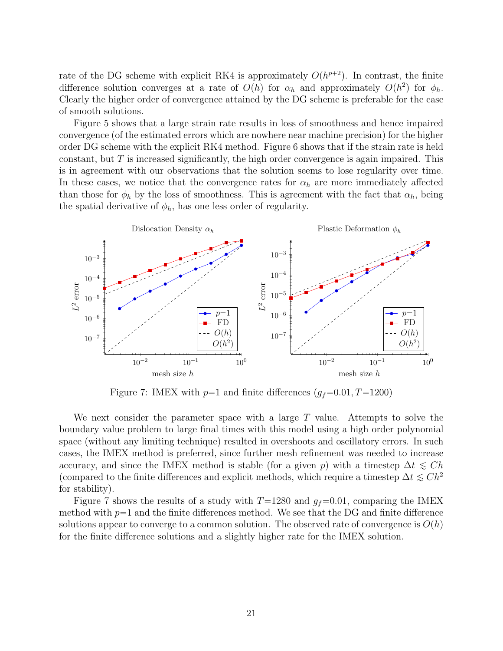rate of the DG scheme with explicit RK4 is approximately  $O(h^{p+2})$ . In contrast, the finite difference solution converges at a rate of  $O(h)$  for  $\alpha_h$  and approximately  $O(h^2)$  for  $\phi_h$ . Clearly the higher order of convergence attained by the DG scheme is preferable for the case of smooth solutions.

Figure 5 shows that a large strain rate results in loss of smoothness and hence impaired convergence (of the estimated errors which are nowhere near machine precision) for the higher order DG scheme with the explicit RK4 method. Figure 6 shows that if the strain rate is held constant, but  $T$  is increased significantly, the high order convergence is again impaired. This is in agreement with our observations that the solution seems to lose regularity over time. In these cases, we notice that the convergence rates for  $\alpha_h$  are more immediately affected than those for  $\phi_h$  by the loss of smoothness. This is agreement with the fact that  $\alpha_h$ , being the spatial derivative of  $\phi_h$ , has one less order of regularity.



Figure 7: IMEX with  $p=1$  and finite differences  $(g_f=0.01, T=1200)$ 

We next consider the parameter space with a large  $T$  value. Attempts to solve the boundary value problem to large final times with this model using a high order polynomial space (without any limiting technique) resulted in overshoots and oscillatory errors. In such cases, the IMEX method is preferred, since further mesh refinement was needed to increase accuracy, and since the IMEX method is stable (for a given p) with a timestep  $\Delta t \leq Ch$ (compared to the finite differences and explicit methods, which require a timestep  $\Delta t \leq C h^2$ for stability).

Figure 7 shows the results of a study with  $T=1280$  and  $g_f=0.01$ , comparing the IMEX method with  $p=1$  and the finite differences method. We see that the DG and finite difference solutions appear to converge to a common solution. The observed rate of convergence is  $O(h)$ for the finite difference solutions and a slightly higher rate for the IMEX solution.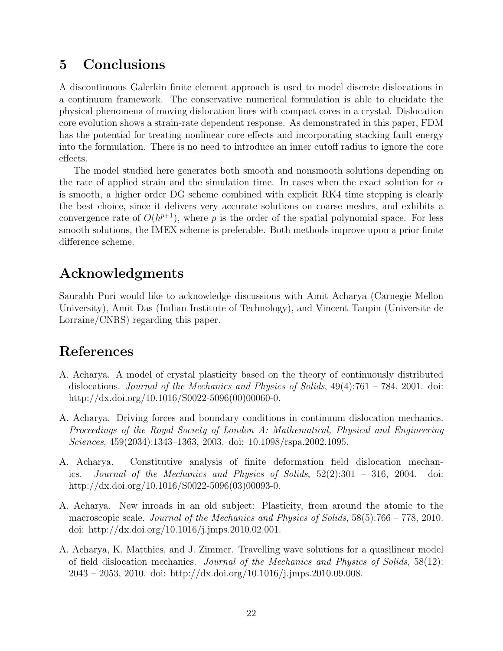## 5 Conclusions

A discontinuous Galerkin finite element approach is used to model discrete dislocations in a continuum framework. The conservative numerical formulation is able to elucidate the physical phenomena of moving dislocation lines with compact cores in a crystal. Dislocation core evolution shows a strain-rate dependent response. As demonstrated in this paper, FDM has the potential for treating nonlinear core effects and incorporating stacking fault energy into the formulation. There is no need to introduce an inner cutoff radius to ignore the core effects.

The model studied here generates both smooth and nonsmooth solutions depending on the rate of applied strain and the simulation time. In cases when the exact solution for  $\alpha$ is smooth, a higher order DG scheme combined with explicit RK4 time stepping is clearly the best choice, since it delivers very accurate solutions on coarse meshes, and exhibits a convergence rate of  $O(h^{p+1})$ , where p is the order of the spatial polynomial space. For less smooth solutions, the IMEX scheme is preferable. Both methods improve upon a prior finite difference scheme.

## Acknowledgments

Saurabh Puri would like to acknowledge discussions with Amit Acharya (Carnegie Mellon University), Amit Das (Indian Institute of Technology), and Vincent Taupin (Universite de Lorraine/CNRS) regarding this paper.

## References

- A. Acharya. A model of crystal plasticity based on the theory of continuously distributed dislocations. Journal of the Mechanics and Physics of Solids, 49(4):761 – 784, 2001. doi: http://dx.doi.org/10.1016/S0022-5096(00)00060-0.
- A. Acharya. Driving forces and boundary conditions in continuum dislocation mechanics. Proceedings of the Royal Society of London A: Mathematical, Physical and Engineering Sciences, 459(2034):1343–1363, 2003. doi: 10.1098/rspa.2002.1095.
- A. Acharya. Constitutive analysis of finite deformation field dislocation mechanics. Journal of the Mechanics and Physics of Solids, 52(2):301 – 316, 2004. doi: http://dx.doi.org/10.1016/S0022-5096(03)00093-0.
- A. Acharya. New inroads in an old subject: Plasticity, from around the atomic to the macroscopic scale. Journal of the Mechanics and Physics of Solids, 58(5):766 – 778, 2010. doi: http://dx.doi.org/10.1016/j.jmps.2010.02.001.
- A. Acharya, K. Matthies, and J. Zimmer. Travelling wave solutions for a quasilinear model of field dislocation mechanics. Journal of the Mechanics and Physics of Solids, 58(12): 2043 – 2053, 2010. doi: http://dx.doi.org/10.1016/j.jmps.2010.09.008.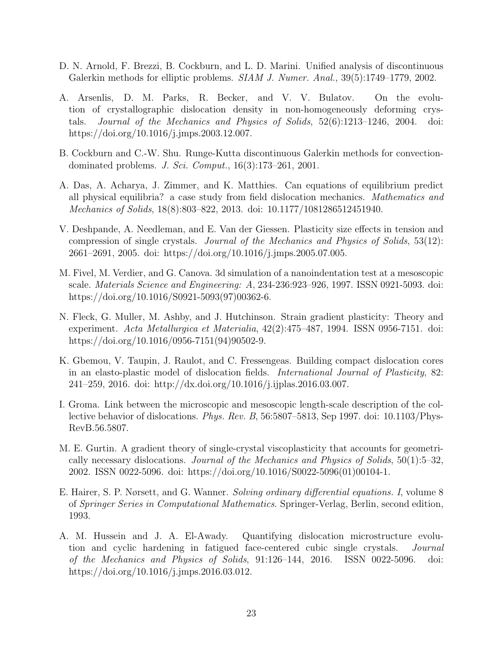- D. N. Arnold, F. Brezzi, B. Cockburn, and L. D. Marini. Unified analysis of discontinuous Galerkin methods for elliptic problems. *SIAM J. Numer. Anal.*, 39(5):1749–1779, 2002.
- A. Arsenlis, D. M. Parks, R. Becker, and V. V. Bulatov. On the evolution of crystallographic dislocation density in non-homogeneously deforming crystals. Journal of the Mechanics and Physics of Solids, 52(6):1213–1246, 2004. doi: https://doi.org/10.1016/j.jmps.2003.12.007.
- B. Cockburn and C.-W. Shu. Runge-Kutta discontinuous Galerkin methods for convectiondominated problems. J. Sci. Comput., 16(3):173–261, 2001.
- A. Das, A. Acharya, J. Zimmer, and K. Matthies. Can equations of equilibrium predict all physical equilibria? a case study from field dislocation mechanics. Mathematics and Mechanics of Solids, 18(8):803–822, 2013. doi: 10.1177/1081286512451940.
- V. Deshpande, A. Needleman, and E. Van der Giessen. Plasticity size effects in tension and compression of single crystals. Journal of the Mechanics and Physics of Solids, 53(12): 2661–2691, 2005. doi: https://doi.org/10.1016/j.jmps.2005.07.005.
- M. Fivel, M. Verdier, and G. Canova. 3d simulation of a nanoindentation test at a mesoscopic scale. Materials Science and Engineering: A, 234-236:923–926, 1997. ISSN 0921-5093. doi: https://doi.org/10.1016/S0921-5093(97)00362-6.
- N. Fleck, G. Muller, M. Ashby, and J. Hutchinson. Strain gradient plasticity: Theory and experiment. Acta Metallurgica et Materialia, 42(2):475–487, 1994. ISSN 0956-7151. doi: https://doi.org/10.1016/0956-7151(94)90502-9.
- K. Gbemou, V. Taupin, J. Raulot, and C. Fressengeas. Building compact dislocation cores in an elasto-plastic model of dislocation fields. International Journal of Plasticity, 82: 241–259, 2016. doi: http://dx.doi.org/10.1016/j.ijplas.2016.03.007.
- I. Groma. Link between the microscopic and mesoscopic length-scale description of the collective behavior of dislocations. *Phys. Rev. B*,  $56:5807-5813$ , Sep 1997. doi: 10.1103/Phys-RevB.56.5807.
- M. E. Gurtin. A gradient theory of single-crystal viscoplasticity that accounts for geometrically necessary dislocations. Journal of the Mechanics and Physics of Solids, 50(1):5–32, 2002. ISSN 0022-5096. doi: https://doi.org/10.1016/S0022-5096(01)00104-1.
- E. Hairer, S. P. Nørsett, and G. Wanner. Solving ordinary differential equations. I, volume 8 of Springer Series in Computational Mathematics. Springer-Verlag, Berlin, second edition, 1993.
- A. M. Hussein and J. A. El-Awady. Quantifying dislocation microstructure evolution and cyclic hardening in fatigued face-centered cubic single crystals. Journal of the Mechanics and Physics of Solids, 91:126–144, 2016. ISSN 0022-5096. doi: https://doi.org/10.1016/j.jmps.2016.03.012.